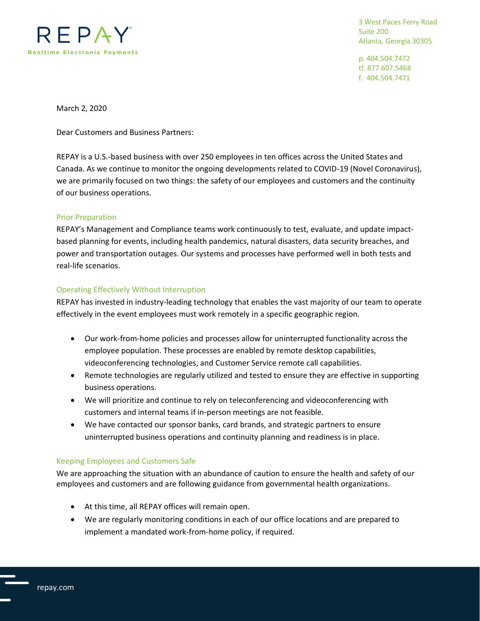

3 West Paces Ferry Road Suite 200 Atlanta, Georgia 30305

p. 404.504.7472 tf. 877.607.5468 f. 404.504.7471

March 2, 2020

Dear Customers and Business Partners:

REPAY is a U.S.-based business with over 250 employees in ten offices across the United States and Canada. As we continue to monitor the ongoing developments related to COVID-19 (Novel Coronavirus), we are primarily focused on two things: the safety of our employees and customers and the continuity of our business operations.

## Prior Preparation

REPAY's Management and Compliance teams work continuously to test, evaluate, and update impactbased planning for events, including health pandemics, natural disasters, data security breaches, and power and transportation outages. Our systems and processes have performed well in both tests and real-life scenarios.

## Operating Effectively Without Interruption

REPAY has invested in industry-leading technology that enables the vast majority of our team to operate effectively in the event employees must work remotely in a specific geographic region.

- Our work-from-home policies and processes allow for uninterrupted functionality across the employee population. These processes are enabled by remote desktop capabilities, videoconferencing technologies, and Customer Service remote call capabilities.
- Remote technologies are regularly utilized and tested to ensure they are effective in supporting business operations.
- We will prioritize and continue to rely on teleconferencing and videoconferencing with customers and internal teams if in-person meetings are not feasible.
- We have contacted our sponsor banks, card brands, and strategic partners to ensure uninterrupted business operations and continuity planning and readiness is in place.

## Keeping Employees and Customers Safe

We are approaching the situation with an abundance of caution to ensure the health and safety of our employees and customers and are following guidance from governmental health organizations.

- At this time, all REPAY offices will remain open.
- We are regularly monitoring conditions in each of our office locations and are prepared to implement a mandated work-from-home policy, if required.